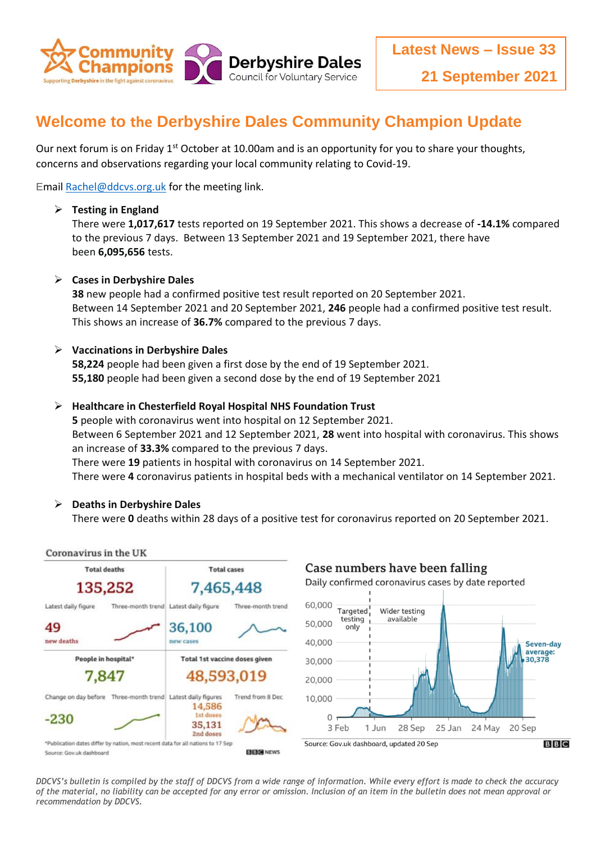

# **Welcome to the Derbyshire Dales Community Champion Update**

Our next forum is on Friday 1<sup>st</sup> October at 10.00am and is an opportunity for you to share your thoughts, concerns and observations regarding your local community relating to Covid-19.

Emai[l Rachel@ddcvs.org.uk](mailto:Rachel@ddcvs.org.uk) for the meeting link.

### **Testing in England**

There were **1,017,617** tests reported on 19 September 2021. This shows a decrease of **-14.1%** compared to the previous 7 days. Between 13 September 2021 and 19 September 2021, there have been **6,095,656** tests.

## **Cases in Derbyshire Dales**

**38** new people had a confirmed positive test result reported on 20 September 2021. Between 14 September 2021 and 20 September 2021, **246** people had a confirmed positive test result. This shows an increase of **36.7%** compared to the previous 7 days.

## **Vaccinations in Derbyshire Dales**

**58,224** people had been given a first dose by the end of 19 September 2021. **55,180** people had been given a second dose by the end of 19 September 2021

#### **Healthcare in Chesterfield Royal Hospital NHS Foundation Trust**

**5** people with coronavirus went into hospital on 12 September 2021. Between 6 September 2021 and 12 September 2021, **28** went into hospital with coronavirus. This shows an increase of **33.3%** compared to the previous 7 days. There were **19** patients in hospital with coronavirus on 14 September 2021. There were **4** coronavirus patients in hospital beds with a mechanical ventilator on 14 September 2021.

## **Deaths in Derbyshire Dales**

There were **0** deaths within 28 days of a positive test for coronavirus reported on 20 September 2021.



*DDCVS's bulletin is compiled by the staff of DDCVS from a wide range of information. While every effort is made to check the accuracy of the material, no liability can be accepted for any error or omission. Inclusion of an item in the bulletin does not mean approval or recommendation by DDCVS.*